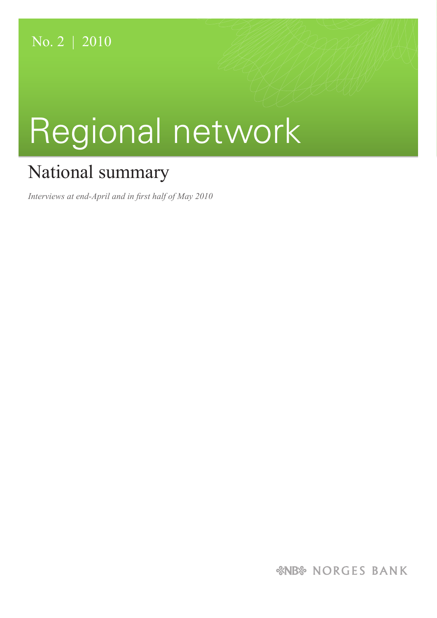# Regional network

## National summary

*Interviews at end-April and in first half of May 2010* 

*&NB& NORGES BANK*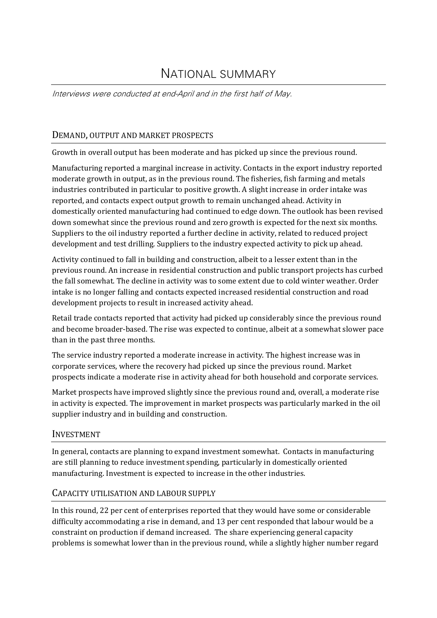### NATIONAL SUMMARY

Interviews were conducted at end-April and in the first half of May.

#### DEMAND, OUTPUT AND MARKET PROSPECTS

Growth in overall output has been moderate and has picked up since the previous round.

Manufacturing reported a marginal increase in activity. Contacts in the export industry reported moderate growth in output, as in the previous round. The fisheries, fish farming and metals industries contributed in particular to positive growth. A slight increase in order intake was reported, and contacts expect output growth to remain unchanged ahead. Activity in domestically oriented manufacturing had continued to edge down. The outlook has been revised down somewhat since the previous round and zero growth is expected for the next six months. Suppliers to the oil industry reported a further decline in activity, related to reduced project development and test drilling. Suppliers to the industry expected activity to pick up ahead.

Activity continued to fall in building and construction, albeit to a lesser extent than in the previous round. An increase in residential construction and public transport projects has curbed the fall somewhat. The decline in activity was to some extent due to cold winter weather. Order intake is no longer falling and contacts expected increased residential construction and road development projects to result in increased activity ahead.

Retail trade contacts reported that activity had picked up considerably since the previous round and become broader‐based. The rise was expected to continue, albeit at a somewhat slower pace than in the past three months.

The service industry reported a moderate increase in activity. The highest increase was in corporate services, where the recovery had picked up since the previous round. Market prospects indicate a moderate rise in activity ahead for both household and corporate services.

Market prospects have improved slightly since the previous round and, overall, a moderate rise in activity is expected. The improvement in market prospects was particularly marked in the oil supplier industry and in building and construction.

#### INVESTMENT

In general, contacts are planning to expand investment somewhat. Contacts in manufacturing are still planning to reduce investment spending, particularly in domestically oriented manufacturing. Investment is expected to increase in the other industries.

#### CAPACITY UTILISATION AND LABOUR SUPPLY

In this round, 22 per cent of enterprises reported that they would have some or considerable difficulty accommodating a rise in demand, and 13 per cent responded that labour would be a constraint on production if demand increased. The share experiencing general capacity problems is somewhat lower than in the previous round, while a slightly higher number regard